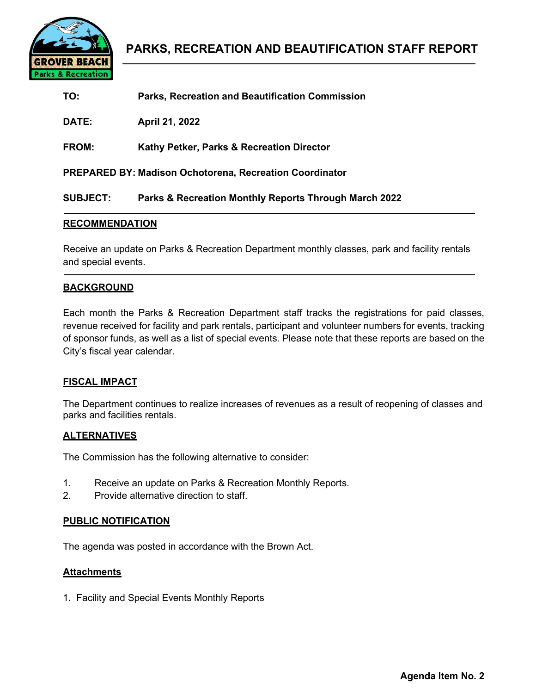

| TO:             | <b>Parks, Recreation and Beautification Commission</b>         |
|-----------------|----------------------------------------------------------------|
| DATE:           | April 21, 2022                                                 |
| <b>FROM:</b>    | Kathy Petker, Parks & Recreation Director                      |
|                 | <b>PREPARED BY: Madison Ochotorena, Recreation Coordinator</b> |
| <b>SUBJECT:</b> | Parks & Recreation Monthly Reports Through March 2022          |

## **RECOMMENDATION**

Receive an update on Parks & Recreation Department monthly classes, park and facility rentals and special events.

## **BACKGROUND**

Each month the Parks & Recreation Department staff tracks the registrations for paid classes, revenue received for facility and park rentals, participant and volunteer numbers for events, tracking of sponsor funds, as well as a list of special events. Please note that these reports are based on the City's fiscal year calendar.

### **FISCAL IMPACT**

The Department continues to realize increases of revenues as a result of reopening of classes and parks and facilities rentals.

## **ALTERNATIVES**

The Commission has the following alternative to consider:

- 1. Receive an update on Parks & Recreation Monthly Reports.
- 2. Provide alternative direction to staff.

### **PUBLIC NOTIFICATION**

The agenda was posted in accordance with the Brown Act.

## **Attachments**

1. Facility and Special Events Monthly Reports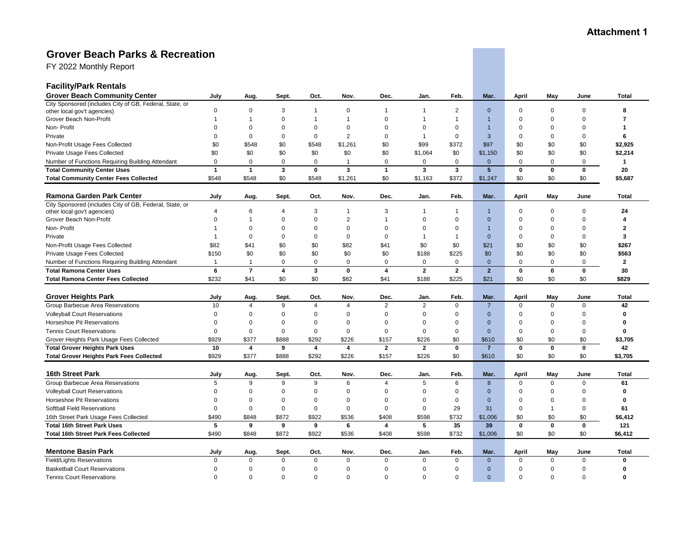# **Grover Beach Parks & Recreation**

FY 2022 Monthly Report

| <b>Grover Beach Community Center</b><br>July<br>Sept.<br>Oct.<br>Nov.<br>Dec.<br>Jan.<br>Feb.<br>Mar.<br>April<br>May<br>June<br>Aug.<br>City Sponsored (includes City of GB, Federal, State, or<br>$\Omega$<br>$\mathbf 0$<br>3<br>0<br>$\overline{c}$<br>$\mathbf{0}$<br>$\Omega$<br>$\mathbf 0$<br>$\mathbf 0$<br>8<br>other local gov't agencies)<br>$\mathbf{1}$<br>1<br>$\mathbf{1}$<br>Grover Beach Non-Profit<br>$\Omega$<br>$\mathbf{1}$<br>$\Omega$<br>$\overline{1}$<br>$\Omega$<br>$\Omega$<br>$\overline{7}$<br>$\mathbf{1}$<br>$\mathbf 1$<br>1<br>$\Omega$<br>Non-Profit<br>$\Omega$<br>$\mathbf 0$<br>$\Omega$<br>$\Omega$<br>$\mathbf 0$<br>$\Omega$<br>$\Omega$<br>$\Omega$<br>$\Omega$<br>$\mathbf{1}$<br>$\Omega$<br>$\Omega$<br>-1<br>$\overline{c}$<br>$\Omega$<br>$\Omega$<br>$\Omega$<br>0<br>$\mathbf 0$<br>$\Omega$<br>$\overline{1}$<br>3<br>$\Omega$<br>$\Omega$<br>6<br>Private<br>$\Omega$<br>\$0<br>\$99<br>Non-Profit Usage Fees Collected<br>\$0<br>\$548<br>\$0<br>\$548<br>\$1,261<br>\$372<br>\$97<br>\$0<br>\$0<br>\$0<br>\$0<br>\$0<br>Private Usage Fees Collected<br>\$0<br>\$0<br>\$0<br>\$0<br>\$1,064<br>\$0<br>\$1,150<br>\$0<br>\$0<br>\$0<br>$\mathbf 0$<br>$\mathsf 0$<br>$\mathsf 0$<br>$\mathsf 0$<br>$\mathbf 0$<br>$\mathbf{0}$<br>$\Omega$<br>$\mathbf 0$<br>$\mathbf 0$<br>$\mathbf{1}$<br>Number of Functions Requiring Building Attendant<br>0<br>0<br>$\overline{1}$<br>3<br><b>Total Community Center Uses</b><br>$\mathbf{1}$<br>$\mathbf{1}$<br>$\mathbf{3}$<br>$\mathbf 0$<br>$\mathbf{1}$<br>$\mathbf{3}$<br>3<br>5 <sup>5</sup><br>$\mathbf 0$<br>0<br>$\mathbf 0$<br>20<br>\$0<br>\$1,261<br>\$0<br>\$372<br>\$0<br>\$0<br><b>Total Community Center Fees Collected</b><br>\$548<br>\$548<br>\$548<br>\$1,163<br>\$1,247<br>\$0<br><b>Ramona Garden Park Center</b><br>July<br>Nov.<br>Dec.<br>Jan.<br>Feb.<br>Mar.<br>April<br>May<br>Aug.<br>Sept.<br>Oct.<br>June<br>City Sponsored (includes City of GB, Federal, State, or<br>3<br>3<br>$\mathbf 0$<br>24<br>$\overline{4}$<br>6<br>4<br>$\mathbf 1$<br>$\Omega$<br>$\mathbf 0$<br>other local gov't agencies)<br>-1<br>1<br>$\mathbf 1$<br>Grover Beach Non-Profit<br>$\Omega$<br>$\mathbf{0}$<br>$\mathbf 0$<br>$\mathbf{2}$<br>$\overline{1}$<br>$\Omega$<br>$\Omega$<br>$\mathbf{0}$<br>$\mathbf 0$<br>1<br>$\Omega$<br>$\mathbf 0$<br>$\boldsymbol{\Lambda}$<br>Non-Profit<br>$\mathbf 0$<br>$\Omega$<br>$\Omega$<br>$\Omega$<br>$\Omega$<br>$\overline{2}$<br>$\mathbf{1}$<br>0<br>$\Omega$<br>0<br>$\overline{1}$<br>$\Omega$<br>$\Omega$<br>$\mathbf 0$<br>$\mathbf 0$<br>$\mathbf 0$<br>$\mathbf 0$<br>3<br>Private<br>$\Omega$<br>$\mathbf 0$<br>$\overline{1}$<br>$\overline{1}$<br>$\mathbf{0}$<br>$\Omega$<br>$\mathbf 0$<br>$\mathbf{1}$<br>\$82<br>\$41<br>\$82<br>\$41<br>\$0<br>\$0<br>\$0<br>\$0<br>\$0<br>Non-Profit Usage Fees Collected<br>\$0<br>\$0<br>\$21<br>\$0<br>\$0<br>\$0<br>\$0<br>\$0<br>\$0<br>Private Usage Fees Collected<br>\$150<br>\$0<br>\$0<br>\$188<br>\$225<br>\$0<br>$\mathbf 0$<br>Number of Functions Requiring Building Attendant<br>0<br>$\mathbf 0$<br>$\mathbf 0$<br>$\mathbf 0$<br>$\mathbf 0$<br>$\mathbf{0}$<br>$\Omega$<br>$\mathbf 0$<br>0<br>$\overline{2}$<br>1<br>$\mathbf{1}$<br>$\overline{7}$<br>$\overline{\mathbf{4}}$<br><b>Total Ramona Center Uses</b><br>6<br>3<br>$\mathbf 0$<br>$\overline{\mathbf{4}}$<br>$\overline{2}$<br>$\overline{2}$<br>$\overline{2}$<br>$\mathbf 0$<br>$\mathbf 0$<br>$\pmb{0}$<br>30<br>\$82<br>\$225<br>\$0<br>\$0<br>\$232<br>\$41<br>\$0<br>\$0<br>\$41<br>\$188<br>\$21<br>\$0<br><b>Total Ramona Center Fees Collected</b><br><b>Grover Heights Park</b><br>July<br>Sept.<br>Oct.<br>Nov.<br>Dec.<br>Jan.<br>Feb.<br>Mar.<br>April<br>May<br>June<br>Aug.<br>Group Barbecue Area Reservations<br>10<br>$\overline{2}$<br>2<br>$\mathbf 0$<br>42<br>4<br>9<br>4<br>4<br>$\overline{7}$<br>$\Omega$<br>$\Omega$<br>$\mathbf 0$<br><b>Volleyball Court Reservations</b><br>$\mathbf 0$<br>$\Omega$<br>$\mathbf 0$<br>$\mathbf 0$<br>$\Omega$<br>0<br>$\Omega$<br>$\mathbf 0$<br>0<br>$\mathbf{0}$<br>$\Omega$<br>$\mathbf 0$<br>$\mathbf 0$<br>Horseshoe Pit Reservations<br>$\Omega$<br>$\Omega$<br>$\Omega$<br>$\mathbf 0$<br>$\Omega$<br>$\Omega$<br>$\Omega$<br>$\Omega$<br>$\mathbf{0}$<br>$\Omega$<br>$\Omega$<br>$\mathbf 0$<br>$\Omega$<br><b>Tennis Court Reservations</b><br>$\Omega$<br>$\mathbf 0$<br>$\mathbf{0}$<br>$\mathbf 0$<br>$\mathbf 0$<br>$\pmb{0}$<br>$\mathbf 0$<br>$\mathbf 0$<br>$\mathbf{0}$<br>$\mathbf 0$<br>$\mathbf 0$<br>$\mathbf 0$<br>$\Omega$<br>\$377<br>\$888<br>\$292<br>\$226<br>\$157<br>\$226<br>\$0<br>\$610<br>\$0<br>\$0<br>\$0<br>Grover Heights Park Usage Fees Collected<br>\$929<br>$\overline{4}$<br>$\overline{\mathbf{4}}$<br>$\overline{2}$<br>$\overline{7}$<br>10<br>$\overline{4}$<br>9<br>$\mathbf{2}$<br>$\mathbf 0$<br>$\mathbf 0$<br>$\mathbf 0$<br>$\mathbf 0$<br>42<br><b>Total Grover Heights Park Uses</b><br>\$929<br>\$377<br>\$888<br>\$292<br>\$226<br>\$157<br>\$226<br>\$0<br>\$610<br>\$0<br>\$0<br>\$0<br><b>Total Grover Heights Park Fees Collected</b><br>16th Street Park<br><b>Total</b><br>July<br>Sept.<br>Nov.<br>Dec.<br>Jan.<br>Feb.<br>Mar.<br>April<br>May<br>Aug.<br>Oct.<br>June<br>Group Barbecue Area Reservations<br>9<br>5<br>6<br>61<br>5<br>9<br>9<br>6<br>$\overline{A}$<br>8<br>$\Omega$<br>$\mathbf 0$<br>$\mathbf 0$<br><b>Volleyball Court Reservations</b><br>$\Omega$<br>$\Omega$<br>$\mathbf{0}$<br>$\mathbf 0$<br>$\mathbf 0$<br>$\mathbf 0$<br>$\Omega$<br>0<br>$\mathbf 0$<br>$\mathbf 0$<br>$\mathbf{0}$<br>$\Omega$<br>$\mathbf 0$<br>Horseshoe Pit Reservations<br>$\mathbf 0$<br>$\Omega$<br>$\Omega$<br>$\Omega$<br>$\Omega$<br>$\mathbf 0$<br>$\mathbf 0$<br>$\Omega$<br>$\Omega$<br>$\mathbf{0}$<br>$\Omega$<br>$\mathbf{0}$<br>$\Omega$ | <b>Facility/Park Rentals</b> |  |  |  |  |  |  |                           |
|---------------------------------------------------------------------------------------------------------------------------------------------------------------------------------------------------------------------------------------------------------------------------------------------------------------------------------------------------------------------------------------------------------------------------------------------------------------------------------------------------------------------------------------------------------------------------------------------------------------------------------------------------------------------------------------------------------------------------------------------------------------------------------------------------------------------------------------------------------------------------------------------------------------------------------------------------------------------------------------------------------------------------------------------------------------------------------------------------------------------------------------------------------------------------------------------------------------------------------------------------------------------------------------------------------------------------------------------------------------------------------------------------------------------------------------------------------------------------------------------------------------------------------------------------------------------------------------------------------------------------------------------------------------------------------------------------------------------------------------------------------------------------------------------------------------------------------------------------------------------------------------------------------------------------------------------------------------------------------------------------------------------------------------------------------------------------------------------------------------------------------------------------------------------------------------------------------------------------------------------------------------------------------------------------------------------------------------------------------------------------------------------------------------------------------------------------------------------------------------------------------------------------------------------------------------------------------------------------------------------------------------------------------------------------------------------------------------------------------------------------------------------------------------------------------------------------------------------------------------------------------------------------------------------------------------------------------------------------------------------------------------------------------------------------------------------------------------------------------------------------------------------------------------------------------------------------------------------------------------------------------------------------------------------------------------------------------------------------------------------------------------------------------------------------------------------------------------------------------------------------------------------------------------------------------------------------------------------------------------------------------------------------------------------------------------------------------------------------------------------------------------------------------------------------------------------------------------------------------------------------------------------------------------------------------------------------------------------------------------------------------------------------------------------------------------------------------------------------------------------------------------------------------------------------------------------------------------------------------------------------------------------------------------------------------------------------------------------------------------------------------------------------------------------------------------------------------------------------------------------------------------------------------------------------------------------------------------------------------------------------------------------------------------------------------------------------------------------------------------------------------------------------------------------------------------------------------------------------------------------------------------------------------------------------------------------------------------------------------------------------------------------------------------------------------------------------------------------------------------------------------------------------------------------------------------------------------------------------------------------------------------------------------------------------------------------------------------------------------------------------------------------------------------------------------------------------------------------------------------------------------------------------------------------------------------------------------------------------------------------------------------------------------------------------------------------------------------------------------------------------------------------------------------------------------------------------------------------------------------------------|------------------------------|--|--|--|--|--|--|---------------------------|
|                                                                                                                                                                                                                                                                                                                                                                                                                                                                                                                                                                                                                                                                                                                                                                                                                                                                                                                                                                                                                                                                                                                                                                                                                                                                                                                                                                                                                                                                                                                                                                                                                                                                                                                                                                                                                                                                                                                                                                                                                                                                                                                                                                                                                                                                                                                                                                                                                                                                                                                                                                                                                                                                                                                                                                                                                                                                                                                                                                                                                                                                                                                                                                                                                                                                                                                                                                                                                                                                                                                                                                                                                                                                                                                                                                                                                                                                                                                                                                                                                                                                                                                                                                                                                                                                                                                                                                                                                                                                                                                                                                                                                                                                                                                                                                                                                                                                                                                                                                                                                                                                                                                                                                                                                                                                                                                                                                                                                                                                                                                                                                                                                                                                                                                                                                                                                                                                           |                              |  |  |  |  |  |  | Total                     |
|                                                                                                                                                                                                                                                                                                                                                                                                                                                                                                                                                                                                                                                                                                                                                                                                                                                                                                                                                                                                                                                                                                                                                                                                                                                                                                                                                                                                                                                                                                                                                                                                                                                                                                                                                                                                                                                                                                                                                                                                                                                                                                                                                                                                                                                                                                                                                                                                                                                                                                                                                                                                                                                                                                                                                                                                                                                                                                                                                                                                                                                                                                                                                                                                                                                                                                                                                                                                                                                                                                                                                                                                                                                                                                                                                                                                                                                                                                                                                                                                                                                                                                                                                                                                                                                                                                                                                                                                                                                                                                                                                                                                                                                                                                                                                                                                                                                                                                                                                                                                                                                                                                                                                                                                                                                                                                                                                                                                                                                                                                                                                                                                                                                                                                                                                                                                                                                                           |                              |  |  |  |  |  |  |                           |
|                                                                                                                                                                                                                                                                                                                                                                                                                                                                                                                                                                                                                                                                                                                                                                                                                                                                                                                                                                                                                                                                                                                                                                                                                                                                                                                                                                                                                                                                                                                                                                                                                                                                                                                                                                                                                                                                                                                                                                                                                                                                                                                                                                                                                                                                                                                                                                                                                                                                                                                                                                                                                                                                                                                                                                                                                                                                                                                                                                                                                                                                                                                                                                                                                                                                                                                                                                                                                                                                                                                                                                                                                                                                                                                                                                                                                                                                                                                                                                                                                                                                                                                                                                                                                                                                                                                                                                                                                                                                                                                                                                                                                                                                                                                                                                                                                                                                                                                                                                                                                                                                                                                                                                                                                                                                                                                                                                                                                                                                                                                                                                                                                                                                                                                                                                                                                                                                           |                              |  |  |  |  |  |  |                           |
|                                                                                                                                                                                                                                                                                                                                                                                                                                                                                                                                                                                                                                                                                                                                                                                                                                                                                                                                                                                                                                                                                                                                                                                                                                                                                                                                                                                                                                                                                                                                                                                                                                                                                                                                                                                                                                                                                                                                                                                                                                                                                                                                                                                                                                                                                                                                                                                                                                                                                                                                                                                                                                                                                                                                                                                                                                                                                                                                                                                                                                                                                                                                                                                                                                                                                                                                                                                                                                                                                                                                                                                                                                                                                                                                                                                                                                                                                                                                                                                                                                                                                                                                                                                                                                                                                                                                                                                                                                                                                                                                                                                                                                                                                                                                                                                                                                                                                                                                                                                                                                                                                                                                                                                                                                                                                                                                                                                                                                                                                                                                                                                                                                                                                                                                                                                                                                                                           |                              |  |  |  |  |  |  |                           |
|                                                                                                                                                                                                                                                                                                                                                                                                                                                                                                                                                                                                                                                                                                                                                                                                                                                                                                                                                                                                                                                                                                                                                                                                                                                                                                                                                                                                                                                                                                                                                                                                                                                                                                                                                                                                                                                                                                                                                                                                                                                                                                                                                                                                                                                                                                                                                                                                                                                                                                                                                                                                                                                                                                                                                                                                                                                                                                                                                                                                                                                                                                                                                                                                                                                                                                                                                                                                                                                                                                                                                                                                                                                                                                                                                                                                                                                                                                                                                                                                                                                                                                                                                                                                                                                                                                                                                                                                                                                                                                                                                                                                                                                                                                                                                                                                                                                                                                                                                                                                                                                                                                                                                                                                                                                                                                                                                                                                                                                                                                                                                                                                                                                                                                                                                                                                                                                                           |                              |  |  |  |  |  |  |                           |
|                                                                                                                                                                                                                                                                                                                                                                                                                                                                                                                                                                                                                                                                                                                                                                                                                                                                                                                                                                                                                                                                                                                                                                                                                                                                                                                                                                                                                                                                                                                                                                                                                                                                                                                                                                                                                                                                                                                                                                                                                                                                                                                                                                                                                                                                                                                                                                                                                                                                                                                                                                                                                                                                                                                                                                                                                                                                                                                                                                                                                                                                                                                                                                                                                                                                                                                                                                                                                                                                                                                                                                                                                                                                                                                                                                                                                                                                                                                                                                                                                                                                                                                                                                                                                                                                                                                                                                                                                                                                                                                                                                                                                                                                                                                                                                                                                                                                                                                                                                                                                                                                                                                                                                                                                                                                                                                                                                                                                                                                                                                                                                                                                                                                                                                                                                                                                                                                           |                              |  |  |  |  |  |  |                           |
|                                                                                                                                                                                                                                                                                                                                                                                                                                                                                                                                                                                                                                                                                                                                                                                                                                                                                                                                                                                                                                                                                                                                                                                                                                                                                                                                                                                                                                                                                                                                                                                                                                                                                                                                                                                                                                                                                                                                                                                                                                                                                                                                                                                                                                                                                                                                                                                                                                                                                                                                                                                                                                                                                                                                                                                                                                                                                                                                                                                                                                                                                                                                                                                                                                                                                                                                                                                                                                                                                                                                                                                                                                                                                                                                                                                                                                                                                                                                                                                                                                                                                                                                                                                                                                                                                                                                                                                                                                                                                                                                                                                                                                                                                                                                                                                                                                                                                                                                                                                                                                                                                                                                                                                                                                                                                                                                                                                                                                                                                                                                                                                                                                                                                                                                                                                                                                                                           |                              |  |  |  |  |  |  | \$2,925                   |
|                                                                                                                                                                                                                                                                                                                                                                                                                                                                                                                                                                                                                                                                                                                                                                                                                                                                                                                                                                                                                                                                                                                                                                                                                                                                                                                                                                                                                                                                                                                                                                                                                                                                                                                                                                                                                                                                                                                                                                                                                                                                                                                                                                                                                                                                                                                                                                                                                                                                                                                                                                                                                                                                                                                                                                                                                                                                                                                                                                                                                                                                                                                                                                                                                                                                                                                                                                                                                                                                                                                                                                                                                                                                                                                                                                                                                                                                                                                                                                                                                                                                                                                                                                                                                                                                                                                                                                                                                                                                                                                                                                                                                                                                                                                                                                                                                                                                                                                                                                                                                                                                                                                                                                                                                                                                                                                                                                                                                                                                                                                                                                                                                                                                                                                                                                                                                                                                           |                              |  |  |  |  |  |  | \$2,214                   |
|                                                                                                                                                                                                                                                                                                                                                                                                                                                                                                                                                                                                                                                                                                                                                                                                                                                                                                                                                                                                                                                                                                                                                                                                                                                                                                                                                                                                                                                                                                                                                                                                                                                                                                                                                                                                                                                                                                                                                                                                                                                                                                                                                                                                                                                                                                                                                                                                                                                                                                                                                                                                                                                                                                                                                                                                                                                                                                                                                                                                                                                                                                                                                                                                                                                                                                                                                                                                                                                                                                                                                                                                                                                                                                                                                                                                                                                                                                                                                                                                                                                                                                                                                                                                                                                                                                                                                                                                                                                                                                                                                                                                                                                                                                                                                                                                                                                                                                                                                                                                                                                                                                                                                                                                                                                                                                                                                                                                                                                                                                                                                                                                                                                                                                                                                                                                                                                                           |                              |  |  |  |  |  |  |                           |
|                                                                                                                                                                                                                                                                                                                                                                                                                                                                                                                                                                                                                                                                                                                                                                                                                                                                                                                                                                                                                                                                                                                                                                                                                                                                                                                                                                                                                                                                                                                                                                                                                                                                                                                                                                                                                                                                                                                                                                                                                                                                                                                                                                                                                                                                                                                                                                                                                                                                                                                                                                                                                                                                                                                                                                                                                                                                                                                                                                                                                                                                                                                                                                                                                                                                                                                                                                                                                                                                                                                                                                                                                                                                                                                                                                                                                                                                                                                                                                                                                                                                                                                                                                                                                                                                                                                                                                                                                                                                                                                                                                                                                                                                                                                                                                                                                                                                                                                                                                                                                                                                                                                                                                                                                                                                                                                                                                                                                                                                                                                                                                                                                                                                                                                                                                                                                                                                           |                              |  |  |  |  |  |  |                           |
|                                                                                                                                                                                                                                                                                                                                                                                                                                                                                                                                                                                                                                                                                                                                                                                                                                                                                                                                                                                                                                                                                                                                                                                                                                                                                                                                                                                                                                                                                                                                                                                                                                                                                                                                                                                                                                                                                                                                                                                                                                                                                                                                                                                                                                                                                                                                                                                                                                                                                                                                                                                                                                                                                                                                                                                                                                                                                                                                                                                                                                                                                                                                                                                                                                                                                                                                                                                                                                                                                                                                                                                                                                                                                                                                                                                                                                                                                                                                                                                                                                                                                                                                                                                                                                                                                                                                                                                                                                                                                                                                                                                                                                                                                                                                                                                                                                                                                                                                                                                                                                                                                                                                                                                                                                                                                                                                                                                                                                                                                                                                                                                                                                                                                                                                                                                                                                                                           |                              |  |  |  |  |  |  | \$5,687                   |
|                                                                                                                                                                                                                                                                                                                                                                                                                                                                                                                                                                                                                                                                                                                                                                                                                                                                                                                                                                                                                                                                                                                                                                                                                                                                                                                                                                                                                                                                                                                                                                                                                                                                                                                                                                                                                                                                                                                                                                                                                                                                                                                                                                                                                                                                                                                                                                                                                                                                                                                                                                                                                                                                                                                                                                                                                                                                                                                                                                                                                                                                                                                                                                                                                                                                                                                                                                                                                                                                                                                                                                                                                                                                                                                                                                                                                                                                                                                                                                                                                                                                                                                                                                                                                                                                                                                                                                                                                                                                                                                                                                                                                                                                                                                                                                                                                                                                                                                                                                                                                                                                                                                                                                                                                                                                                                                                                                                                                                                                                                                                                                                                                                                                                                                                                                                                                                                                           |                              |  |  |  |  |  |  | Total                     |
|                                                                                                                                                                                                                                                                                                                                                                                                                                                                                                                                                                                                                                                                                                                                                                                                                                                                                                                                                                                                                                                                                                                                                                                                                                                                                                                                                                                                                                                                                                                                                                                                                                                                                                                                                                                                                                                                                                                                                                                                                                                                                                                                                                                                                                                                                                                                                                                                                                                                                                                                                                                                                                                                                                                                                                                                                                                                                                                                                                                                                                                                                                                                                                                                                                                                                                                                                                                                                                                                                                                                                                                                                                                                                                                                                                                                                                                                                                                                                                                                                                                                                                                                                                                                                                                                                                                                                                                                                                                                                                                                                                                                                                                                                                                                                                                                                                                                                                                                                                                                                                                                                                                                                                                                                                                                                                                                                                                                                                                                                                                                                                                                                                                                                                                                                                                                                                                                           |                              |  |  |  |  |  |  |                           |
|                                                                                                                                                                                                                                                                                                                                                                                                                                                                                                                                                                                                                                                                                                                                                                                                                                                                                                                                                                                                                                                                                                                                                                                                                                                                                                                                                                                                                                                                                                                                                                                                                                                                                                                                                                                                                                                                                                                                                                                                                                                                                                                                                                                                                                                                                                                                                                                                                                                                                                                                                                                                                                                                                                                                                                                                                                                                                                                                                                                                                                                                                                                                                                                                                                                                                                                                                                                                                                                                                                                                                                                                                                                                                                                                                                                                                                                                                                                                                                                                                                                                                                                                                                                                                                                                                                                                                                                                                                                                                                                                                                                                                                                                                                                                                                                                                                                                                                                                                                                                                                                                                                                                                                                                                                                                                                                                                                                                                                                                                                                                                                                                                                                                                                                                                                                                                                                                           |                              |  |  |  |  |  |  |                           |
|                                                                                                                                                                                                                                                                                                                                                                                                                                                                                                                                                                                                                                                                                                                                                                                                                                                                                                                                                                                                                                                                                                                                                                                                                                                                                                                                                                                                                                                                                                                                                                                                                                                                                                                                                                                                                                                                                                                                                                                                                                                                                                                                                                                                                                                                                                                                                                                                                                                                                                                                                                                                                                                                                                                                                                                                                                                                                                                                                                                                                                                                                                                                                                                                                                                                                                                                                                                                                                                                                                                                                                                                                                                                                                                                                                                                                                                                                                                                                                                                                                                                                                                                                                                                                                                                                                                                                                                                                                                                                                                                                                                                                                                                                                                                                                                                                                                                                                                                                                                                                                                                                                                                                                                                                                                                                                                                                                                                                                                                                                                                                                                                                                                                                                                                                                                                                                                                           |                              |  |  |  |  |  |  |                           |
|                                                                                                                                                                                                                                                                                                                                                                                                                                                                                                                                                                                                                                                                                                                                                                                                                                                                                                                                                                                                                                                                                                                                                                                                                                                                                                                                                                                                                                                                                                                                                                                                                                                                                                                                                                                                                                                                                                                                                                                                                                                                                                                                                                                                                                                                                                                                                                                                                                                                                                                                                                                                                                                                                                                                                                                                                                                                                                                                                                                                                                                                                                                                                                                                                                                                                                                                                                                                                                                                                                                                                                                                                                                                                                                                                                                                                                                                                                                                                                                                                                                                                                                                                                                                                                                                                                                                                                                                                                                                                                                                                                                                                                                                                                                                                                                                                                                                                                                                                                                                                                                                                                                                                                                                                                                                                                                                                                                                                                                                                                                                                                                                                                                                                                                                                                                                                                                                           |                              |  |  |  |  |  |  |                           |
|                                                                                                                                                                                                                                                                                                                                                                                                                                                                                                                                                                                                                                                                                                                                                                                                                                                                                                                                                                                                                                                                                                                                                                                                                                                                                                                                                                                                                                                                                                                                                                                                                                                                                                                                                                                                                                                                                                                                                                                                                                                                                                                                                                                                                                                                                                                                                                                                                                                                                                                                                                                                                                                                                                                                                                                                                                                                                                                                                                                                                                                                                                                                                                                                                                                                                                                                                                                                                                                                                                                                                                                                                                                                                                                                                                                                                                                                                                                                                                                                                                                                                                                                                                                                                                                                                                                                                                                                                                                                                                                                                                                                                                                                                                                                                                                                                                                                                                                                                                                                                                                                                                                                                                                                                                                                                                                                                                                                                                                                                                                                                                                                                                                                                                                                                                                                                                                                           |                              |  |  |  |  |  |  |                           |
|                                                                                                                                                                                                                                                                                                                                                                                                                                                                                                                                                                                                                                                                                                                                                                                                                                                                                                                                                                                                                                                                                                                                                                                                                                                                                                                                                                                                                                                                                                                                                                                                                                                                                                                                                                                                                                                                                                                                                                                                                                                                                                                                                                                                                                                                                                                                                                                                                                                                                                                                                                                                                                                                                                                                                                                                                                                                                                                                                                                                                                                                                                                                                                                                                                                                                                                                                                                                                                                                                                                                                                                                                                                                                                                                                                                                                                                                                                                                                                                                                                                                                                                                                                                                                                                                                                                                                                                                                                                                                                                                                                                                                                                                                                                                                                                                                                                                                                                                                                                                                                                                                                                                                                                                                                                                                                                                                                                                                                                                                                                                                                                                                                                                                                                                                                                                                                                                           |                              |  |  |  |  |  |  | \$267                     |
|                                                                                                                                                                                                                                                                                                                                                                                                                                                                                                                                                                                                                                                                                                                                                                                                                                                                                                                                                                                                                                                                                                                                                                                                                                                                                                                                                                                                                                                                                                                                                                                                                                                                                                                                                                                                                                                                                                                                                                                                                                                                                                                                                                                                                                                                                                                                                                                                                                                                                                                                                                                                                                                                                                                                                                                                                                                                                                                                                                                                                                                                                                                                                                                                                                                                                                                                                                                                                                                                                                                                                                                                                                                                                                                                                                                                                                                                                                                                                                                                                                                                                                                                                                                                                                                                                                                                                                                                                                                                                                                                                                                                                                                                                                                                                                                                                                                                                                                                                                                                                                                                                                                                                                                                                                                                                                                                                                                                                                                                                                                                                                                                                                                                                                                                                                                                                                                                           |                              |  |  |  |  |  |  | \$563                     |
|                                                                                                                                                                                                                                                                                                                                                                                                                                                                                                                                                                                                                                                                                                                                                                                                                                                                                                                                                                                                                                                                                                                                                                                                                                                                                                                                                                                                                                                                                                                                                                                                                                                                                                                                                                                                                                                                                                                                                                                                                                                                                                                                                                                                                                                                                                                                                                                                                                                                                                                                                                                                                                                                                                                                                                                                                                                                                                                                                                                                                                                                                                                                                                                                                                                                                                                                                                                                                                                                                                                                                                                                                                                                                                                                                                                                                                                                                                                                                                                                                                                                                                                                                                                                                                                                                                                                                                                                                                                                                                                                                                                                                                                                                                                                                                                                                                                                                                                                                                                                                                                                                                                                                                                                                                                                                                                                                                                                                                                                                                                                                                                                                                                                                                                                                                                                                                                                           |                              |  |  |  |  |  |  |                           |
|                                                                                                                                                                                                                                                                                                                                                                                                                                                                                                                                                                                                                                                                                                                                                                                                                                                                                                                                                                                                                                                                                                                                                                                                                                                                                                                                                                                                                                                                                                                                                                                                                                                                                                                                                                                                                                                                                                                                                                                                                                                                                                                                                                                                                                                                                                                                                                                                                                                                                                                                                                                                                                                                                                                                                                                                                                                                                                                                                                                                                                                                                                                                                                                                                                                                                                                                                                                                                                                                                                                                                                                                                                                                                                                                                                                                                                                                                                                                                                                                                                                                                                                                                                                                                                                                                                                                                                                                                                                                                                                                                                                                                                                                                                                                                                                                                                                                                                                                                                                                                                                                                                                                                                                                                                                                                                                                                                                                                                                                                                                                                                                                                                                                                                                                                                                                                                                                           |                              |  |  |  |  |  |  |                           |
|                                                                                                                                                                                                                                                                                                                                                                                                                                                                                                                                                                                                                                                                                                                                                                                                                                                                                                                                                                                                                                                                                                                                                                                                                                                                                                                                                                                                                                                                                                                                                                                                                                                                                                                                                                                                                                                                                                                                                                                                                                                                                                                                                                                                                                                                                                                                                                                                                                                                                                                                                                                                                                                                                                                                                                                                                                                                                                                                                                                                                                                                                                                                                                                                                                                                                                                                                                                                                                                                                                                                                                                                                                                                                                                                                                                                                                                                                                                                                                                                                                                                                                                                                                                                                                                                                                                                                                                                                                                                                                                                                                                                                                                                                                                                                                                                                                                                                                                                                                                                                                                                                                                                                                                                                                                                                                                                                                                                                                                                                                                                                                                                                                                                                                                                                                                                                                                                           |                              |  |  |  |  |  |  | \$829                     |
|                                                                                                                                                                                                                                                                                                                                                                                                                                                                                                                                                                                                                                                                                                                                                                                                                                                                                                                                                                                                                                                                                                                                                                                                                                                                                                                                                                                                                                                                                                                                                                                                                                                                                                                                                                                                                                                                                                                                                                                                                                                                                                                                                                                                                                                                                                                                                                                                                                                                                                                                                                                                                                                                                                                                                                                                                                                                                                                                                                                                                                                                                                                                                                                                                                                                                                                                                                                                                                                                                                                                                                                                                                                                                                                                                                                                                                                                                                                                                                                                                                                                                                                                                                                                                                                                                                                                                                                                                                                                                                                                                                                                                                                                                                                                                                                                                                                                                                                                                                                                                                                                                                                                                                                                                                                                                                                                                                                                                                                                                                                                                                                                                                                                                                                                                                                                                                                                           |                              |  |  |  |  |  |  | <b>Total</b>              |
|                                                                                                                                                                                                                                                                                                                                                                                                                                                                                                                                                                                                                                                                                                                                                                                                                                                                                                                                                                                                                                                                                                                                                                                                                                                                                                                                                                                                                                                                                                                                                                                                                                                                                                                                                                                                                                                                                                                                                                                                                                                                                                                                                                                                                                                                                                                                                                                                                                                                                                                                                                                                                                                                                                                                                                                                                                                                                                                                                                                                                                                                                                                                                                                                                                                                                                                                                                                                                                                                                                                                                                                                                                                                                                                                                                                                                                                                                                                                                                                                                                                                                                                                                                                                                                                                                                                                                                                                                                                                                                                                                                                                                                                                                                                                                                                                                                                                                                                                                                                                                                                                                                                                                                                                                                                                                                                                                                                                                                                                                                                                                                                                                                                                                                                                                                                                                                                                           |                              |  |  |  |  |  |  |                           |
|                                                                                                                                                                                                                                                                                                                                                                                                                                                                                                                                                                                                                                                                                                                                                                                                                                                                                                                                                                                                                                                                                                                                                                                                                                                                                                                                                                                                                                                                                                                                                                                                                                                                                                                                                                                                                                                                                                                                                                                                                                                                                                                                                                                                                                                                                                                                                                                                                                                                                                                                                                                                                                                                                                                                                                                                                                                                                                                                                                                                                                                                                                                                                                                                                                                                                                                                                                                                                                                                                                                                                                                                                                                                                                                                                                                                                                                                                                                                                                                                                                                                                                                                                                                                                                                                                                                                                                                                                                                                                                                                                                                                                                                                                                                                                                                                                                                                                                                                                                                                                                                                                                                                                                                                                                                                                                                                                                                                                                                                                                                                                                                                                                                                                                                                                                                                                                                                           |                              |  |  |  |  |  |  |                           |
|                                                                                                                                                                                                                                                                                                                                                                                                                                                                                                                                                                                                                                                                                                                                                                                                                                                                                                                                                                                                                                                                                                                                                                                                                                                                                                                                                                                                                                                                                                                                                                                                                                                                                                                                                                                                                                                                                                                                                                                                                                                                                                                                                                                                                                                                                                                                                                                                                                                                                                                                                                                                                                                                                                                                                                                                                                                                                                                                                                                                                                                                                                                                                                                                                                                                                                                                                                                                                                                                                                                                                                                                                                                                                                                                                                                                                                                                                                                                                                                                                                                                                                                                                                                                                                                                                                                                                                                                                                                                                                                                                                                                                                                                                                                                                                                                                                                                                                                                                                                                                                                                                                                                                                                                                                                                                                                                                                                                                                                                                                                                                                                                                                                                                                                                                                                                                                                                           |                              |  |  |  |  |  |  |                           |
|                                                                                                                                                                                                                                                                                                                                                                                                                                                                                                                                                                                                                                                                                                                                                                                                                                                                                                                                                                                                                                                                                                                                                                                                                                                                                                                                                                                                                                                                                                                                                                                                                                                                                                                                                                                                                                                                                                                                                                                                                                                                                                                                                                                                                                                                                                                                                                                                                                                                                                                                                                                                                                                                                                                                                                                                                                                                                                                                                                                                                                                                                                                                                                                                                                                                                                                                                                                                                                                                                                                                                                                                                                                                                                                                                                                                                                                                                                                                                                                                                                                                                                                                                                                                                                                                                                                                                                                                                                                                                                                                                                                                                                                                                                                                                                                                                                                                                                                                                                                                                                                                                                                                                                                                                                                                                                                                                                                                                                                                                                                                                                                                                                                                                                                                                                                                                                                                           |                              |  |  |  |  |  |  |                           |
|                                                                                                                                                                                                                                                                                                                                                                                                                                                                                                                                                                                                                                                                                                                                                                                                                                                                                                                                                                                                                                                                                                                                                                                                                                                                                                                                                                                                                                                                                                                                                                                                                                                                                                                                                                                                                                                                                                                                                                                                                                                                                                                                                                                                                                                                                                                                                                                                                                                                                                                                                                                                                                                                                                                                                                                                                                                                                                                                                                                                                                                                                                                                                                                                                                                                                                                                                                                                                                                                                                                                                                                                                                                                                                                                                                                                                                                                                                                                                                                                                                                                                                                                                                                                                                                                                                                                                                                                                                                                                                                                                                                                                                                                                                                                                                                                                                                                                                                                                                                                                                                                                                                                                                                                                                                                                                                                                                                                                                                                                                                                                                                                                                                                                                                                                                                                                                                                           |                              |  |  |  |  |  |  | \$3,705                   |
|                                                                                                                                                                                                                                                                                                                                                                                                                                                                                                                                                                                                                                                                                                                                                                                                                                                                                                                                                                                                                                                                                                                                                                                                                                                                                                                                                                                                                                                                                                                                                                                                                                                                                                                                                                                                                                                                                                                                                                                                                                                                                                                                                                                                                                                                                                                                                                                                                                                                                                                                                                                                                                                                                                                                                                                                                                                                                                                                                                                                                                                                                                                                                                                                                                                                                                                                                                                                                                                                                                                                                                                                                                                                                                                                                                                                                                                                                                                                                                                                                                                                                                                                                                                                                                                                                                                                                                                                                                                                                                                                                                                                                                                                                                                                                                                                                                                                                                                                                                                                                                                                                                                                                                                                                                                                                                                                                                                                                                                                                                                                                                                                                                                                                                                                                                                                                                                                           |                              |  |  |  |  |  |  |                           |
|                                                                                                                                                                                                                                                                                                                                                                                                                                                                                                                                                                                                                                                                                                                                                                                                                                                                                                                                                                                                                                                                                                                                                                                                                                                                                                                                                                                                                                                                                                                                                                                                                                                                                                                                                                                                                                                                                                                                                                                                                                                                                                                                                                                                                                                                                                                                                                                                                                                                                                                                                                                                                                                                                                                                                                                                                                                                                                                                                                                                                                                                                                                                                                                                                                                                                                                                                                                                                                                                                                                                                                                                                                                                                                                                                                                                                                                                                                                                                                                                                                                                                                                                                                                                                                                                                                                                                                                                                                                                                                                                                                                                                                                                                                                                                                                                                                                                                                                                                                                                                                                                                                                                                                                                                                                                                                                                                                                                                                                                                                                                                                                                                                                                                                                                                                                                                                                                           |                              |  |  |  |  |  |  | \$3.705                   |
|                                                                                                                                                                                                                                                                                                                                                                                                                                                                                                                                                                                                                                                                                                                                                                                                                                                                                                                                                                                                                                                                                                                                                                                                                                                                                                                                                                                                                                                                                                                                                                                                                                                                                                                                                                                                                                                                                                                                                                                                                                                                                                                                                                                                                                                                                                                                                                                                                                                                                                                                                                                                                                                                                                                                                                                                                                                                                                                                                                                                                                                                                                                                                                                                                                                                                                                                                                                                                                                                                                                                                                                                                                                                                                                                                                                                                                                                                                                                                                                                                                                                                                                                                                                                                                                                                                                                                                                                                                                                                                                                                                                                                                                                                                                                                                                                                                                                                                                                                                                                                                                                                                                                                                                                                                                                                                                                                                                                                                                                                                                                                                                                                                                                                                                                                                                                                                                                           |                              |  |  |  |  |  |  |                           |
|                                                                                                                                                                                                                                                                                                                                                                                                                                                                                                                                                                                                                                                                                                                                                                                                                                                                                                                                                                                                                                                                                                                                                                                                                                                                                                                                                                                                                                                                                                                                                                                                                                                                                                                                                                                                                                                                                                                                                                                                                                                                                                                                                                                                                                                                                                                                                                                                                                                                                                                                                                                                                                                                                                                                                                                                                                                                                                                                                                                                                                                                                                                                                                                                                                                                                                                                                                                                                                                                                                                                                                                                                                                                                                                                                                                                                                                                                                                                                                                                                                                                                                                                                                                                                                                                                                                                                                                                                                                                                                                                                                                                                                                                                                                                                                                                                                                                                                                                                                                                                                                                                                                                                                                                                                                                                                                                                                                                                                                                                                                                                                                                                                                                                                                                                                                                                                                                           |                              |  |  |  |  |  |  |                           |
|                                                                                                                                                                                                                                                                                                                                                                                                                                                                                                                                                                                                                                                                                                                                                                                                                                                                                                                                                                                                                                                                                                                                                                                                                                                                                                                                                                                                                                                                                                                                                                                                                                                                                                                                                                                                                                                                                                                                                                                                                                                                                                                                                                                                                                                                                                                                                                                                                                                                                                                                                                                                                                                                                                                                                                                                                                                                                                                                                                                                                                                                                                                                                                                                                                                                                                                                                                                                                                                                                                                                                                                                                                                                                                                                                                                                                                                                                                                                                                                                                                                                                                                                                                                                                                                                                                                                                                                                                                                                                                                                                                                                                                                                                                                                                                                                                                                                                                                                                                                                                                                                                                                                                                                                                                                                                                                                                                                                                                                                                                                                                                                                                                                                                                                                                                                                                                                                           |                              |  |  |  |  |  |  |                           |
|                                                                                                                                                                                                                                                                                                                                                                                                                                                                                                                                                                                                                                                                                                                                                                                                                                                                                                                                                                                                                                                                                                                                                                                                                                                                                                                                                                                                                                                                                                                                                                                                                                                                                                                                                                                                                                                                                                                                                                                                                                                                                                                                                                                                                                                                                                                                                                                                                                                                                                                                                                                                                                                                                                                                                                                                                                                                                                                                                                                                                                                                                                                                                                                                                                                                                                                                                                                                                                                                                                                                                                                                                                                                                                                                                                                                                                                                                                                                                                                                                                                                                                                                                                                                                                                                                                                                                                                                                                                                                                                                                                                                                                                                                                                                                                                                                                                                                                                                                                                                                                                                                                                                                                                                                                                                                                                                                                                                                                                                                                                                                                                                                                                                                                                                                                                                                                                                           |                              |  |  |  |  |  |  |                           |
| Softball Field Reservations<br>$\mathbf 0$<br>$\Omega$<br>0<br>0<br>0<br>$\Omega$<br>$\mathsf 0$<br>29<br>31<br>$\overline{1}$<br>$\mathbf 0$<br>61<br>$\Omega$                                                                                                                                                                                                                                                                                                                                                                                                                                                                                                                                                                                                                                                                                                                                                                                                                                                                                                                                                                                                                                                                                                                                                                                                                                                                                                                                                                                                                                                                                                                                                                                                                                                                                                                                                                                                                                                                                                                                                                                                                                                                                                                                                                                                                                                                                                                                                                                                                                                                                                                                                                                                                                                                                                                                                                                                                                                                                                                                                                                                                                                                                                                                                                                                                                                                                                                                                                                                                                                                                                                                                                                                                                                                                                                                                                                                                                                                                                                                                                                                                                                                                                                                                                                                                                                                                                                                                                                                                                                                                                                                                                                                                                                                                                                                                                                                                                                                                                                                                                                                                                                                                                                                                                                                                                                                                                                                                                                                                                                                                                                                                                                                                                                                                                           |                              |  |  |  |  |  |  |                           |
|                                                                                                                                                                                                                                                                                                                                                                                                                                                                                                                                                                                                                                                                                                                                                                                                                                                                                                                                                                                                                                                                                                                                                                                                                                                                                                                                                                                                                                                                                                                                                                                                                                                                                                                                                                                                                                                                                                                                                                                                                                                                                                                                                                                                                                                                                                                                                                                                                                                                                                                                                                                                                                                                                                                                                                                                                                                                                                                                                                                                                                                                                                                                                                                                                                                                                                                                                                                                                                                                                                                                                                                                                                                                                                                                                                                                                                                                                                                                                                                                                                                                                                                                                                                                                                                                                                                                                                                                                                                                                                                                                                                                                                                                                                                                                                                                                                                                                                                                                                                                                                                                                                                                                                                                                                                                                                                                                                                                                                                                                                                                                                                                                                                                                                                                                                                                                                                                           |                              |  |  |  |  |  |  |                           |
|                                                                                                                                                                                                                                                                                                                                                                                                                                                                                                                                                                                                                                                                                                                                                                                                                                                                                                                                                                                                                                                                                                                                                                                                                                                                                                                                                                                                                                                                                                                                                                                                                                                                                                                                                                                                                                                                                                                                                                                                                                                                                                                                                                                                                                                                                                                                                                                                                                                                                                                                                                                                                                                                                                                                                                                                                                                                                                                                                                                                                                                                                                                                                                                                                                                                                                                                                                                                                                                                                                                                                                                                                                                                                                                                                                                                                                                                                                                                                                                                                                                                                                                                                                                                                                                                                                                                                                                                                                                                                                                                                                                                                                                                                                                                                                                                                                                                                                                                                                                                                                                                                                                                                                                                                                                                                                                                                                                                                                                                                                                                                                                                                                                                                                                                                                                                                                                                           |                              |  |  |  |  |  |  |                           |
|                                                                                                                                                                                                                                                                                                                                                                                                                                                                                                                                                                                                                                                                                                                                                                                                                                                                                                                                                                                                                                                                                                                                                                                                                                                                                                                                                                                                                                                                                                                                                                                                                                                                                                                                                                                                                                                                                                                                                                                                                                                                                                                                                                                                                                                                                                                                                                                                                                                                                                                                                                                                                                                                                                                                                                                                                                                                                                                                                                                                                                                                                                                                                                                                                                                                                                                                                                                                                                                                                                                                                                                                                                                                                                                                                                                                                                                                                                                                                                                                                                                                                                                                                                                                                                                                                                                                                                                                                                                                                                                                                                                                                                                                                                                                                                                                                                                                                                                                                                                                                                                                                                                                                                                                                                                                                                                                                                                                                                                                                                                                                                                                                                                                                                                                                                                                                                                                           |                              |  |  |  |  |  |  |                           |
|                                                                                                                                                                                                                                                                                                                                                                                                                                                                                                                                                                                                                                                                                                                                                                                                                                                                                                                                                                                                                                                                                                                                                                                                                                                                                                                                                                                                                                                                                                                                                                                                                                                                                                                                                                                                                                                                                                                                                                                                                                                                                                                                                                                                                                                                                                                                                                                                                                                                                                                                                                                                                                                                                                                                                                                                                                                                                                                                                                                                                                                                                                                                                                                                                                                                                                                                                                                                                                                                                                                                                                                                                                                                                                                                                                                                                                                                                                                                                                                                                                                                                                                                                                                                                                                                                                                                                                                                                                                                                                                                                                                                                                                                                                                                                                                                                                                                                                                                                                                                                                                                                                                                                                                                                                                                                                                                                                                                                                                                                                                                                                                                                                                                                                                                                                                                                                                                           |                              |  |  |  |  |  |  |                           |
| <b>Mentone Basin Park</b><br>July<br>Nov.<br>Dec.<br>Jan.<br>Feb.<br>May<br>Aug.<br>Sept.<br>Oct.<br>Mar.<br>April<br>June                                                                                                                                                                                                                                                                                                                                                                                                                                                                                                                                                                                                                                                                                                                                                                                                                                                                                                                                                                                                                                                                                                                                                                                                                                                                                                                                                                                                                                                                                                                                                                                                                                                                                                                                                                                                                                                                                                                                                                                                                                                                                                                                                                                                                                                                                                                                                                                                                                                                                                                                                                                                                                                                                                                                                                                                                                                                                                                                                                                                                                                                                                                                                                                                                                                                                                                                                                                                                                                                                                                                                                                                                                                                                                                                                                                                                                                                                                                                                                                                                                                                                                                                                                                                                                                                                                                                                                                                                                                                                                                                                                                                                                                                                                                                                                                                                                                                                                                                                                                                                                                                                                                                                                                                                                                                                                                                                                                                                                                                                                                                                                                                                                                                                                                                                |                              |  |  |  |  |  |  | <b>Total</b>              |
| $\mathbf 0$<br>$\mathbf 0$<br><b>Field/Lights Reservations</b><br>$\Omega$<br>$\mathbf 0$<br>$\mathbf 0$<br>$\mathbf 0$<br>$\Omega$<br>0<br>$\mathbf{0}$<br>$\Omega$<br>$\mathbf 0$<br>$\Omega$<br>$\mathbf{0}$                                                                                                                                                                                                                                                                                                                                                                                                                                                                                                                                                                                                                                                                                                                                                                                                                                                                                                                                                                                                                                                                                                                                                                                                                                                                                                                                                                                                                                                                                                                                                                                                                                                                                                                                                                                                                                                                                                                                                                                                                                                                                                                                                                                                                                                                                                                                                                                                                                                                                                                                                                                                                                                                                                                                                                                                                                                                                                                                                                                                                                                                                                                                                                                                                                                                                                                                                                                                                                                                                                                                                                                                                                                                                                                                                                                                                                                                                                                                                                                                                                                                                                                                                                                                                                                                                                                                                                                                                                                                                                                                                                                                                                                                                                                                                                                                                                                                                                                                                                                                                                                                                                                                                                                                                                                                                                                                                                                                                                                                                                                                                                                                                                                           |                              |  |  |  |  |  |  |                           |
| <b>Basketball Court Reservations</b><br>$\mathbf 0$<br>$\mathbf 0$<br>0<br>0<br>0<br>$\Omega$<br>$\Omega$<br>$\mathbf{0}$<br>$\Omega$<br>$\Omega$<br>$\mathbf 0$<br>$\mathbf 0$<br>$\Omega$                                                                                                                                                                                                                                                                                                                                                                                                                                                                                                                                                                                                                                                                                                                                                                                                                                                                                                                                                                                                                                                                                                                                                                                                                                                                                                                                                                                                                                                                                                                                                                                                                                                                                                                                                                                                                                                                                                                                                                                                                                                                                                                                                                                                                                                                                                                                                                                                                                                                                                                                                                                                                                                                                                                                                                                                                                                                                                                                                                                                                                                                                                                                                                                                                                                                                                                                                                                                                                                                                                                                                                                                                                                                                                                                                                                                                                                                                                                                                                                                                                                                                                                                                                                                                                                                                                                                                                                                                                                                                                                                                                                                                                                                                                                                                                                                                                                                                                                                                                                                                                                                                                                                                                                                                                                                                                                                                                                                                                                                                                                                                                                                                                                                               |                              |  |  |  |  |  |  |                           |
| <b>Tennis Court Reservations</b><br>$\Omega$<br>$\mathbf{0}$<br>$\mathbf 0$<br>$\mathbf 0$<br>$\Omega$<br>$\mathbf 0$<br>$\mathbf{0}$<br>$\Omega$<br>$\Omega$<br>$\Omega$<br>$\mathbf{0}$<br>$\Omega$<br>$\Omega$                                                                                                                                                                                                                                                                                                                                                                                                                                                                                                                                                                                                                                                                                                                                                                                                                                                                                                                                                                                                                                                                                                                                                                                                                                                                                                                                                                                                                                                                                                                                                                                                                                                                                                                                                                                                                                                                                                                                                                                                                                                                                                                                                                                                                                                                                                                                                                                                                                                                                                                                                                                                                                                                                                                                                                                                                                                                                                                                                                                                                                                                                                                                                                                                                                                                                                                                                                                                                                                                                                                                                                                                                                                                                                                                                                                                                                                                                                                                                                                                                                                                                                                                                                                                                                                                                                                                                                                                                                                                                                                                                                                                                                                                                                                                                                                                                                                                                                                                                                                                                                                                                                                                                                                                                                                                                                                                                                                                                                                                                                                                                                                                                                                         |                              |  |  |  |  |  |  |                           |
| \$0<br>\$490<br>\$848<br>\$872<br>\$922<br>\$536<br>\$408<br>\$598<br>\$732<br>\$1,006<br>\$0<br>\$0<br>16th Street Park Usage Fees Collected<br>$\sqrt{5}$<br>35<br>39<br><b>Total 16th Street Park Uses</b><br>5<br>9<br>9<br>9<br>6<br>0<br>$\mathbf 0$<br>$\mathbf 0$<br>$\boldsymbol{4}$<br>\$490<br>\$848<br>\$872<br>\$922<br>\$536<br>\$408<br>\$598<br>\$732<br>\$1,006<br>\$0<br>\$0<br>\$0<br><b>Total 16th Street Park Fees Collected</b>                                                                                                                                                                                                                                                                                                                                                                                                                                                                                                                                                                                                                                                                                                                                                                                                                                                                                                                                                                                                                                                                                                                                                                                                                                                                                                                                                                                                                                                                                                                                                                                                                                                                                                                                                                                                                                                                                                                                                                                                                                                                                                                                                                                                                                                                                                                                                                                                                                                                                                                                                                                                                                                                                                                                                                                                                                                                                                                                                                                                                                                                                                                                                                                                                                                                                                                                                                                                                                                                                                                                                                                                                                                                                                                                                                                                                                                                                                                                                                                                                                                                                                                                                                                                                                                                                                                                                                                                                                                                                                                                                                                                                                                                                                                                                                                                                                                                                                                                                                                                                                                                                                                                                                                                                                                                                                                                                                                                                     |                              |  |  |  |  |  |  | \$6,412<br>121<br>\$6,412 |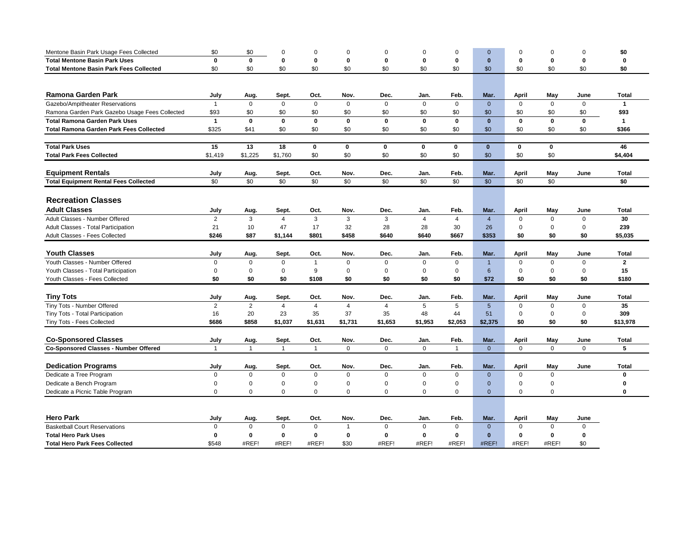| Mentone Basin Park Usage Fees Collected        | \$0            | \$0            | $\Omega$       | $\Omega$       | $\Omega$       | $\mathbf 0$    | $\Omega$       | $\Omega$       |                 | $\Omega$     | $\Omega$    | $\Omega$     | \$0                  |
|------------------------------------------------|----------------|----------------|----------------|----------------|----------------|----------------|----------------|----------------|-----------------|--------------|-------------|--------------|----------------------|
| <b>Total Mentone Basin Park Uses</b>           | $\mathbf{0}$   | $\mathbf{0}$   | $\mathbf 0$    | $\mathbf 0$    | $\bf{0}$       | $\mathbf 0$    | $\Omega$       | 0              | $\bf{0}$        | 0            | $\mathbf 0$ | $\mathbf{0}$ | 0                    |
| <b>Total Mentone Basin Park Fees Collected</b> | \$0            | \$0            | \$0            | \$0            | \$0            | \$0            | \$0            | \$0            | \$0             | \$0          | \$0         | \$0          | \$0                  |
|                                                |                |                |                |                |                |                |                |                |                 |              |             |              |                      |
|                                                |                |                |                |                |                |                |                |                |                 |              |             |              |                      |
| Ramona Garden Park                             | July           | Aug.           | Sept.          | Oct.           | Nov.           | Dec.           | Jan.           | Feb.           | Mar.            | <b>April</b> | May         | June         | Total                |
| Gazebo/Ampitheater Reservations                | $\overline{1}$ | $\Omega$       | $\Omega$       | $\Omega$       | $\mathbf{0}$   | $\mathbf 0$    | $\mathbf 0$    | $\Omega$       | $\mathbf{0}$    | $\mathbf 0$  | $\mathbf 0$ | $\mathbf 0$  | $\mathbf{1}$         |
| Ramona Garden Park Gazebo Usage Fees Collected | \$93           | \$0            | \$0            | \$0            | \$0            | \$0            | \$0            | \$0            | \$0             | \$0          | \$0         | \$0          | \$93                 |
| <b>Total Ramona Garden Park Uses</b>           | $\mathbf{1}$   | $\mathbf 0$    | $\mathbf 0$    | $\mathbf 0$    | $\mathbf 0$    | $\mathbf 0$    | $\mathbf 0$    | $\mathbf 0$    | $\mathbf{0}$    | $\mathbf 0$  | $\mathbf 0$ | $\mathbf 0$  | $\blacktriangleleft$ |
| <b>Total Ramona Garden Park Fees Collected</b> | \$325          | \$41           | \$0            | \$0            | \$0            | \$0            | \$0            | \$0            | \$0             | \$0          | \$0         | \$0          | \$366                |
|                                                |                |                |                |                |                |                |                |                |                 |              |             |              |                      |
| <b>Total Park Uses</b>                         | 15             | 13             | 18             | 0              | 0              | 0              | 0              | $\mathbf 0$    | $\mathbf{0}$    | 0            | 0           |              | 46                   |
| <b>Total Park Fees Collected</b>               | \$1,419        | \$1,225        | \$1,760        | \$0            | \$0            | \$0            | \$0            | \$0            | \$0             | \$0          | \$0         |              | \$4,404              |
| <b>Equipment Rentals</b>                       | July           | Aug.           | Sept.          | Oct.           | Nov.           | Dec.           | Jan.           | Feb.           | Mar.            | <b>April</b> | May         | June         | <b>Total</b>         |
| <b>Total Equipment Rental Fees Collected</b>   | \$0            | \$0            | \$0            | \$0            | \$0            | \$0            | \$0            | \$0            | \$0             | \$0          | \$0         |              | \$0                  |
|                                                |                |                |                |                |                |                |                |                |                 |              |             |              |                      |
| <b>Recreation Classes</b>                      |                |                |                |                |                |                |                |                |                 |              |             |              |                      |
| <b>Adult Classes</b>                           | July           | Aug.           | Sept.          | Oct.           | Nov.           | Dec.           | Jan.           | Feb.           | Mar.            | <b>April</b> | May         | June         | Total                |
| Adult Classes - Number Offered                 | $\overline{2}$ | 3              | $\overline{4}$ | 3              | 3              | 3              | $\overline{4}$ | $\overline{4}$ | $\overline{4}$  | 0            | $\mathbf 0$ | $\mathbf 0$  | 30                   |
| Adult Classes - Total Participation            | 21             | 10             | 47             | 17             | 32             | 28             | 28             | 30             | 26              | $\Omega$     | $\mathbf 0$ | $\Omega$     | 239                  |
| Adult Classes - Fees Collected                 | \$246          | \$87           | \$1,144        | \$801          | \$458          | \$640          | \$640          | \$667          | \$353           | \$0          | \$0         | \$0          | \$5,035              |
|                                                |                |                |                |                |                |                |                |                |                 |              |             |              |                      |
| <b>Youth Classes</b>                           | July           | Aug.           | Sept.          | Oct.           | Nov.           | Dec.           | Jan.           | Feb.           | Mar.            | <b>April</b> | May         | June         | <b>Total</b>         |
| Youth Classes - Number Offered                 | $\mathbf 0$    | $\Omega$       | $\mathbf 0$    | $\mathbf{1}$   | $\mathbf 0$    | $\mathbf 0$    | $\Omega$       | $\Omega$       |                 | $\Omega$     | $\mathbf 0$ | $\mathbf 0$  | $\overline{2}$       |
| Youth Classes - Total Participation            | 0              | $\mathbf 0$    | $\mathbf 0$    | 9              | $\mathbf 0$    | $\mathbf 0$    | $\Omega$       | $\mathbf 0$    | 6               | 0            | $\mathbf 0$ | $\Omega$     | 15                   |
| Youth Classes - Fees Collected                 | \$0            | \$0            | \$0            | \$108          | \$0            | \$0            | \$0            | \$0            | \$72            | \$0          | \$0         | \$0          | \$180                |
|                                                |                |                |                |                |                |                |                |                |                 |              |             |              |                      |
| <b>Tiny Tots</b>                               | July           | Aug.           | Sept.          | Oct.           | Nov.           | Dec.           | Jan.           | Feb.           | Mar.            | April        | May         | June         | Total                |
| Tiny Tots - Number Offered                     | $\overline{c}$ | $\overline{2}$ | $\overline{4}$ | $\overline{4}$ | $\overline{4}$ | $\overline{4}$ | 5              | 5              | $5\overline{)}$ | $\mathbf 0$  | $\mathbf 0$ | $\mathsf 0$  | 35                   |
| Tiny Tots - Total Participation                | 16             | 20             | 23             | 35             | 37             | 35             | 48             | 44             | 51              | 0            | $\mathbf 0$ | $\mathbf 0$  | 309                  |
| Tiny Tots - Fees Collected                     | \$686          | \$858          | \$1,037        | \$1,631        | \$1,731        | \$1,653        | \$1,953        | \$2,053        | \$2,375         | \$0          | \$0         | \$0          | \$13,978             |
|                                                |                |                |                |                |                |                |                |                |                 |              |             |              |                      |
| <b>Co-Sponsored Classes</b>                    | July           | Aug.           | Sept.          | Oct.           | Nov.           | Dec.           | Jan.           | Feb.           | Mar.            | <b>April</b> | May         | June         | <b>Total</b>         |
| <b>Co-Sponsored Classes - Number Offered</b>   | $\overline{1}$ | $\overline{1}$ | $\mathbf{1}$   | $\mathbf{1}$   | $\mathbf{0}$   | $\mathbf 0$    | $\mathbf 0$    | $\overline{1}$ | $\mathbf{0}$    | $\mathbf 0$  | $\mathbf 0$ | $\mathbf 0$  | 5                    |
|                                                |                |                |                |                |                |                |                |                |                 |              |             |              |                      |
| <b>Dedication Programs</b>                     | July           | Aug.           | Sept.          | Oct.           | Nov.           | Dec.           | Jan.           | Feb.           | Mar.            | April        | May         | June         | Total                |
| Dedicate a Tree Program                        | 0              | $\mathbf 0$    | 0              | $\mathbf 0$    | $\mathbf 0$    | $\mathbf 0$    | $\mathbf 0$    | $\mathbf 0$    | $\mathbf{0}$    | 0            | $\mathbf 0$ |              | $\bf{0}$             |
| Dedicate a Bench Program                       | 0              | $\mathbf 0$    | $\mathbf 0$    | $\mathbf 0$    | $\mathbf 0$    | $\mathbf 0$    | $\mathsf 0$    | $\mathbf 0$    | $\mathbf{0}$    | 0            | $\mathbf 0$ |              | $\mathbf 0$          |
| Dedicate a Picnic Table Program                | $\Omega$       | $\Omega$       | $\Omega$       | $\Omega$       | $\Omega$       | $\mathbf 0$    | $\Omega$       | $\Omega$       | $\Omega$        | $\Omega$     | $\Omega$    |              | $\bf{0}$             |
|                                                |                |                |                |                |                |                |                |                |                 |              |             |              |                      |
| <b>Hero Park</b>                               | July           | Aug.           | Sept.          | Oct.           | Nov.           | Dec.           | Jan.           | Feb.           | Mar.            | April        | May         | June         |                      |
| <b>Basketball Court Reservations</b>           | $\mathbf 0$    | $\Omega$       | $\Omega$       | $\Omega$       | $\overline{1}$ | $\Omega$       | $\Omega$       | $\Omega$       | $\mathbf{0}$    | $\Omega$     | $\Omega$    | $\mathbf 0$  |                      |
| <b>Total Hero Park Uses</b>                    | 0              | $\mathbf 0$    | 0              | $\mathbf 0$    | $\bf{0}$       | $\mathbf 0$    | 0              | 0              | $\mathbf{0}$    | 0            | $\mathbf 0$ | 0            |                      |
| <b>Total Hero Park Fees Collected</b>          | \$548          | #REF!          | #REF!          | #REF!          | \$30           | #REF!          | #REF!          | #REF!          | #REF!           | #REF!        | #REF!       | \$0          |                      |